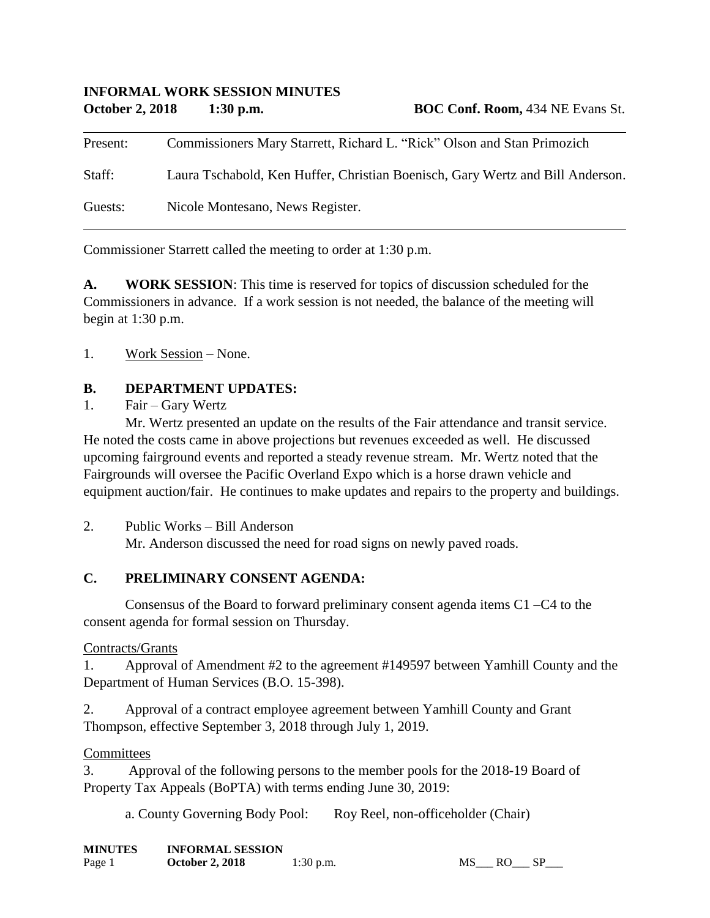### **INFORMAL WORK SESSION MINUTES October 2, 2018 1:30 p.m. BOC Conf. Room,** 434 NE Evans St.

| Present: | Commissioners Mary Starrett, Richard L. "Rick" Olson and Stan Primozich        |
|----------|--------------------------------------------------------------------------------|
| Staff:   | Laura Tschabold, Ken Huffer, Christian Boenisch, Gary Wertz and Bill Anderson. |
| Guests:  | Nicole Montesano, News Register.                                               |

Commissioner Starrett called the meeting to order at 1:30 p.m.

**A. WORK SESSION**: This time is reserved for topics of discussion scheduled for the Commissioners in advance. If a work session is not needed, the balance of the meeting will begin at 1:30 p.m.

#### 1. Work Session – None.

### **B. DEPARTMENT UPDATES:**

#### 1. Fair – Gary Wertz

Mr. Wertz presented an update on the results of the Fair attendance and transit service. He noted the costs came in above projections but revenues exceeded as well. He discussed upcoming fairground events and reported a steady revenue stream. Mr. Wertz noted that the Fairgrounds will oversee the Pacific Overland Expo which is a horse drawn vehicle and equipment auction/fair. He continues to make updates and repairs to the property and buildings.

2. Public Works – Bill Anderson

Mr. Anderson discussed the need for road signs on newly paved roads.

### **C. PRELIMINARY CONSENT AGENDA:**

Consensus of the Board to forward preliminary consent agenda items C1 –C4 to the consent agenda for formal session on Thursday.

### Contracts/Grants

1. Approval of Amendment #2 to the agreement #149597 between Yamhill County and the Department of Human Services (B.O. 15-398).

2. Approval of a contract employee agreement between Yamhill County and Grant Thompson, effective September 3, 2018 through July 1, 2019.

#### **Committees**

3. Approval of the following persons to the member pools for the 2018-19 Board of Property Tax Appeals (BoPTA) with terms ending June 30, 2019:

a. County Governing Body Pool: Roy Reel, non-officeholder (Chair)

| <b>MINUTES</b> | <b>INFORMAL SESSION</b> |             |
|----------------|-------------------------|-------------|
| Page 1         | <b>October 2, 2018</b>  | $1:30$ p.m. |

 $MS$ <sub>\_\_\_</sub> RO\_\_\_ SP\_\_\_